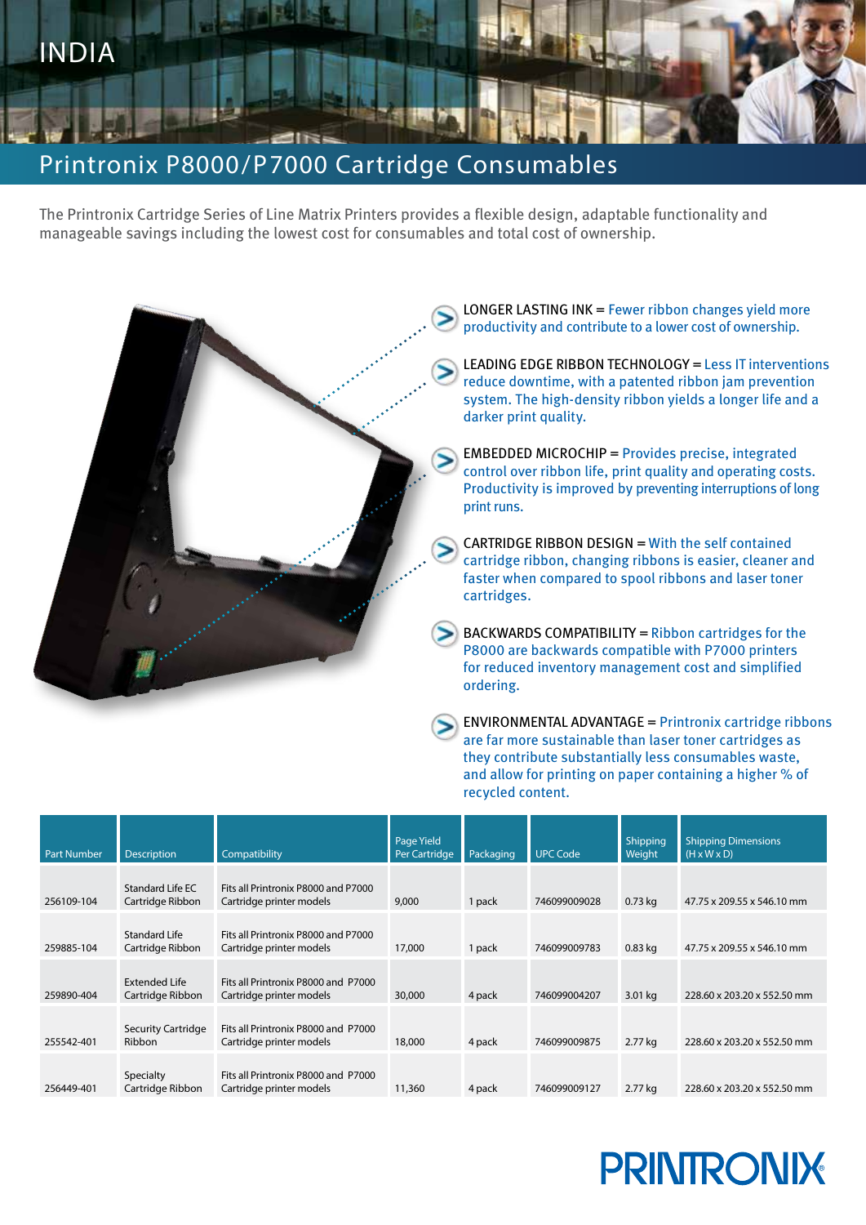

## Printronix P8000/P7000 Cartridge Consumables

The Printronix Cartridge Series of Line Matrix Printers provides a flexible design, adaptable functionality and manageable savings including the lowest cost for consumables and total cost of ownership.



ENVIRONMENTAL ADVANTAGE = Printronix cartridge ribbons are far more sustainable than laser toner cartridges as they contribute substantially less consumables waste, and allow for printing on paper containing a higher % of recycled content.

| <b>Part Number</b> | <b>Description</b>                       | Compatibility                                                   | Page Yield<br>Per Cartridge | Packaging | <b>UPC Code</b> | <b>Shipping</b><br>Weight | <b>Shipping Dimensions</b><br>$(H \times W \times D)$ |
|--------------------|------------------------------------------|-----------------------------------------------------------------|-----------------------------|-----------|-----------------|---------------------------|-------------------------------------------------------|
| 256109-104         | Standard Life EC<br>Cartridge Ribbon     | Fits all Printronix P8000 and P7000<br>Cartridge printer models | 9,000                       | 1 pack    | 746099009028    | $0.73$ kg                 | 47.75 x 209.55 x 546.10 mm                            |
| 259885-104         | Standard Life<br>Cartridge Ribbon        | Fits all Printronix P8000 and P7000<br>Cartridge printer models | 17,000                      | 1 pack    | 746099009783    | $0.83$ kg                 | 47.75 x 209.55 x 546.10 mm                            |
| 259890-404         | <b>Extended Life</b><br>Cartridge Ribbon | Fits all Printronix P8000 and P7000<br>Cartridge printer models | 30,000                      | 4 pack    | 746099004207    | 3.01 kg                   | 228.60 x 203.20 x 552.50 mm                           |
| 255542-401         | <b>Security Cartridge</b><br>Ribbon      | Fits all Printronix P8000 and P7000<br>Cartridge printer models | 18,000                      | 4 pack    | 746099009875    | 2.77 kg                   | 228.60 x 203.20 x 552.50 mm                           |
| 256449-401         | Specialty<br>Cartridge Ribbon            | Fits all Printronix P8000 and P7000<br>Cartridge printer models | 11,360                      | 4 pack    | 746099009127    | 2.77 kg                   | 228.60 x 203.20 x 552.50 mm                           |

## **PRINTRONIX**